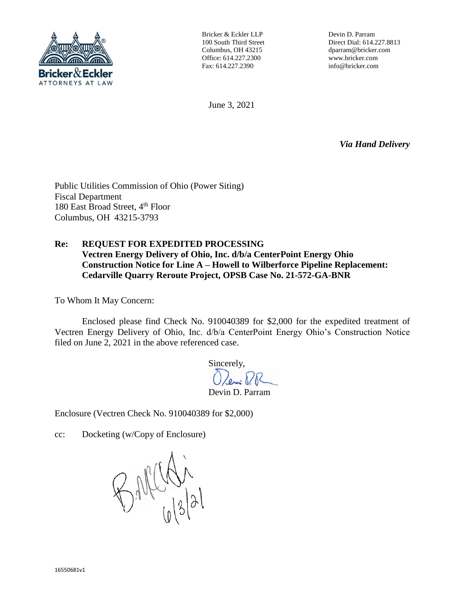

Bricker & Eckler LLP 100 South Third Street Columbus, OH 43215 Office: 614.227.2300 Fax: 614.227.2390

Devin D. Parram Direct Dial: 614.227.8813 dparram@bricker.com www.bricker.com info@bricker.com

June 3, 2021

*Via Hand Delivery*

Public Utilities Commission of Ohio (Power Siting) Fiscal Department 180 East Broad Street, 4<sup>th</sup> Floor Columbus, OH 43215-3793

## **Re: REQUEST FOR EXPEDITED PROCESSING Vectren Energy Delivery of Ohio, Inc. d/b/a CenterPoint Energy Ohio Construction Notice for Line A – Howell to Wilberforce Pipeline Replacement: Cedarville Quarry Reroute Project, OPSB Case No. 21-572-GA-BNR**

To Whom It May Concern:

Enclosed please find Check No. 910040389 for \$2,000 for the expedited treatment of Vectren Energy Delivery of Ohio, Inc. d/b/a CenterPoint Energy Ohio's Construction Notice filed on June 2, 2021 in the above referenced case.

Sincerely,<br> $\bigcap_{\ell \sim n} P_{\ell}$ 

Devin D. Parram

Enclosure (Vectren Check No. 910040389 for \$2,000)

cc: Docketing (w/Copy of Enclosure)

BALLAN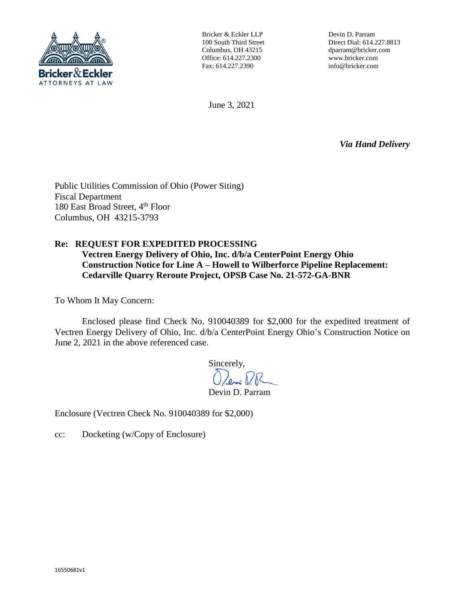

Bricker & Eckler LLP 100 South Third Street Columbus, OH 43215 Office: 614.227.2300 Fax: 614.227.2390

Devin D. Parram Direct Dial: 614.227.8813 dparram@bricker.com www.bricker.com info@bricker.com

June 3, 2021

*Via Hand Delivery*

Public Utilities Commission of Ohio (Power Siting) Fiscal Department 180 East Broad Street, 4<sup>th</sup> Floor Columbus, OH 43215-3793

## **Re: REQUEST FOR EXPEDITED PROCESSING**

**Vectren Energy Delivery of Ohio, Inc. d/b/a CenterPoint Energy Ohio Construction Notice for Line A – Howell to Wilberforce Pipeline Replacement: Cedarville Quarry Reroute Project, OPSB Case No. 21-572-GA-BNR**

To Whom It May Concern:

Enclosed please find Check No. 910040389 for \$2,000 for the expedited treatment of Vectren Energy Delivery of Ohio, Inc. d/b/a CenterPoint Energy Ohio's Construction Notice on June 2, 2021 in the above referenced case.

> Sincerely, O Davis RR

Devin D. Parram

Enclosure (Vectren Check No. 910040389 for \$2,000)

cc: Docketing (w/Copy of Enclosure)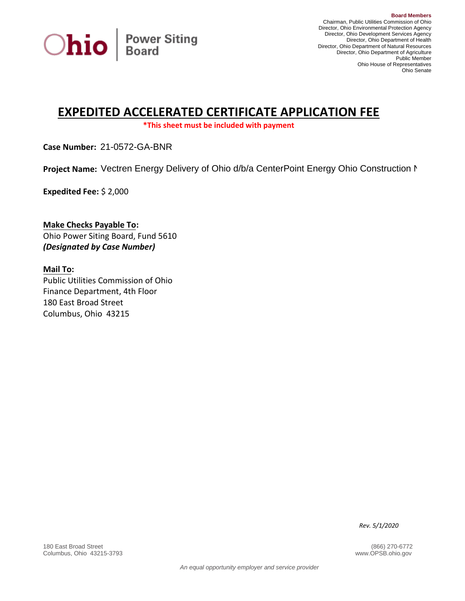

## **EXPEDITED ACCELERATED CERTIFICATE APPLICATION FEE**

**\*This sheet must be included with payment**

**Case Number:**  21-0572-GA-BNR

Project Name: Vectren Energy Delivery of Ohio d/b/a CenterPoint Energy Ohio Construction N

**Expedited Fee:** \$ 2,000

**Make Checks Payable To:**  Ohio Power Siting Board, Fund 5610 *(Designated by Case Number)* 

**Mail To:**  Public Utilities Commission of Ohio Finance Department, 4th Floor 180 East Broad Street Columbus, Ohio 43215

*Rev. 5/1/2020*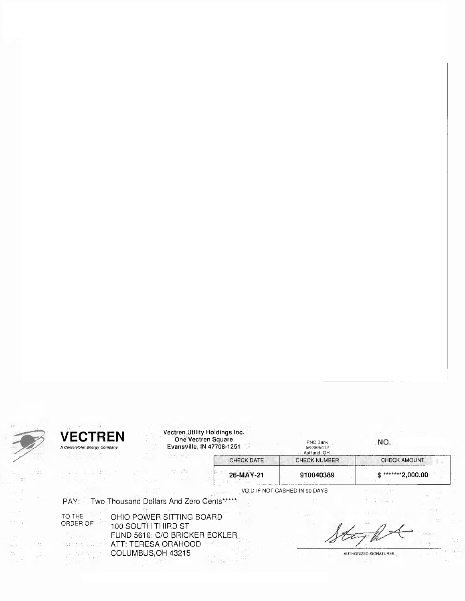

| <b>TREN</b><br>CN<br>▬       |  |
|------------------------------|--|
|                              |  |
| A CenterPoint Energy Company |  |
|                              |  |

| Vectren Utility Holdings Inc. |  |
|-------------------------------|--|
| One Vectren Square            |  |

| ectren Utility Holdings Inc. |  |
|------------------------------|--|
| One Vectren Square           |  |
| Evansville, IN 47708-1251    |  |

| ۰. |  |
|----|--|
|    |  |

|  |  | NU. |  |  |  |
|--|--|-----|--|--|--|
|  |  |     |  |  |  |
|  |  |     |  |  |  |
|  |  |     |  |  |  |

| PNC Bank<br>56-389/412<br>Ashland, OH | NO.                 |  |  |
|---------------------------------------|---------------------|--|--|
| <b>CHECK NUMBER</b>                   | <b>CHECK AMOUNT</b> |  |  |
| 910040389                             | $*2,000.00$         |  |  |

26-MAY-21 91 VOID IF NOT CASHED IN 90 DAYS

CHECK DATE

PAY: Two Thousand Dollars And Zero Cents\*\*\*\*\*

TO THE ORDER OF OHIO POWER SITTING BOARD 100 SOUTH THIRD ST FUND 5610: C/O BRICKER ECKLER ATT: TERESA ORAHOOD COLUMBUS, OH 43215

AUTHORIZED SIGNATURES